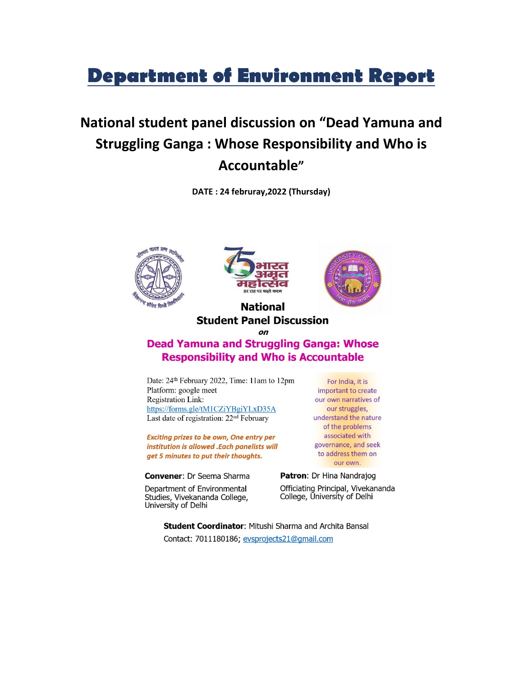## **Department of Environment Report**

## National student panel discussion on "Dead Yamuna and **Struggling Ganga: Whose Responsibility and Who is** Accountable"

DATE: 24 februray, 2022 (Thursday)







## **National Student Panel Discussion**

 $\Omega$ 

## **Dead Yamuna and Struggling Ganga: Whose Responsibility and Who is Accountable**

Date: 24<sup>th</sup> February 2022, Time: 11am to 12pm Platform: google meet **Registration Link:** https://forms.gle/tM1CZiYBgiYLxD35A Last date of registration: 22<sup>nd</sup> February

Exciting prizes to be own, One entry per institution is allowed .Each panelists will get 5 minutes to put their thoughts.

Convener: Dr Seema Sharma

Department of Environmental Studies, Vivekananda College, University of Delhi

For India, it is important to create our own narratives of our struggles, understand the nature of the problems associated with governance, and seek to address them on our own.

Patron: Dr Hina Nandrajog Officiating Principal, Vivekananda College, University of Delhi

**Student Coordinator: Mitushi Sharma and Archita Bansal** Contact: 7011180186; evsprojects21@gmail.com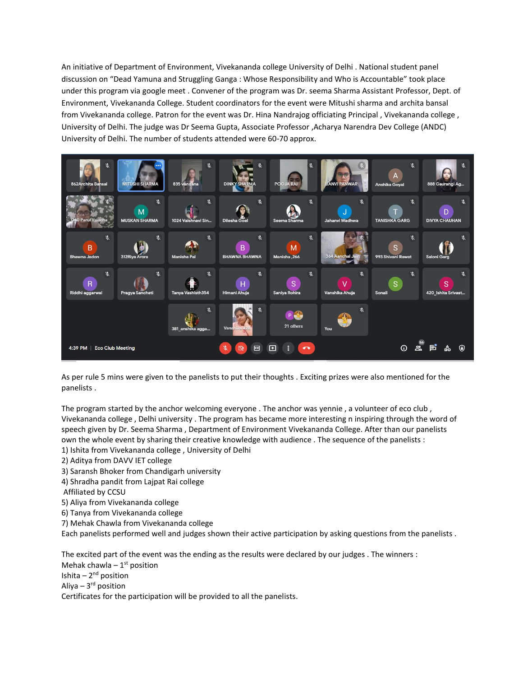An initiative of Department of Environment, Vivekananda college University of Delhi . National student panel discussion on "Dead Yamuna and Struggling Ganga : Whose Responsibility and Who is Accountable" took place under this program via google meet . Convener of the program was Dr. seema Sharma Assistant Professor, Dept. of Environment, Vivekananda College. Student coordinators for the event were Mitushi sharma and archita bansal from Vivekananda college. Patron for the event was Dr. Hina Nandrajog officiating Principal , Vivekananda college , University of Delhi. The judge was Dr Seema Gupta, Associate Professor ,Acharya Narendra Dev College (ANDC) University of Delhi. The number of students attended were 60-70 approx.



As per rule 5 mins were given to the panelists to put their thoughts . Exciting prizes were also mentioned for the panelists .

The program started by the anchor welcoming everyone . The anchor was yennie, a volunteer of eco club, Vivekananda college , Delhi university . The program has became more interesting n inspiring through the word of speech given by Dr. Seema Sharma , Department of Environment Vivekananda College. After than our panelists own the whole event by sharing their creative knowledge with audience . The sequence of the panelists : 1) Ishita from Vivekananda college , University of Delhi

- 2) Aditya from DAVV IET college
- 3) Saransh Bhoker from Chandigarh university
- 4) Shradha pandit from Lajpat Rai college
- Affiliated by CCSU
- 5) Aliya from Vivekananda college
- 6) Tanya from Vivekananda college
- 7) Mehak Chawla from Vivekananda college

Each panelists performed well and judges shown their active participation by asking questions from the panelists .

The excited part of the event was the ending as the results were declared by our judges . The winners : Mehak chawla –  $1<sup>st</sup>$  position Ishita – 2<sup>nd</sup> position Aliya – 3<sup>rd</sup> position Certificates for the participation will be provided to all the panelists.